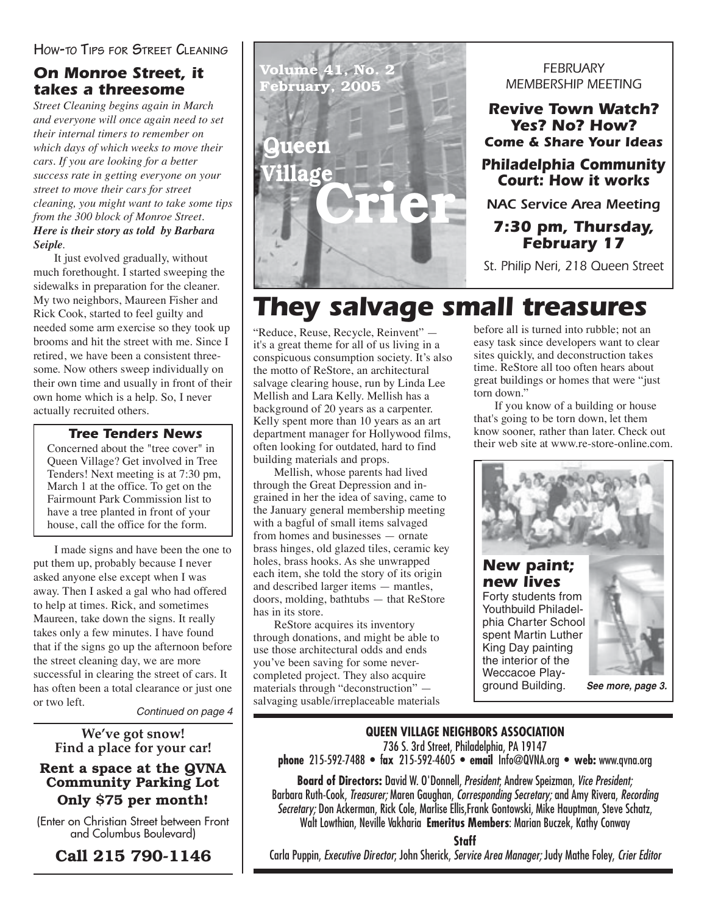#### **HOW-TO TIPS FOR STREET CLEANING**

## *On Monroe Street, it takes a threesome*

*Street Cleaning begins again in March and everyone will once again need to set their internal timers to remember on which days of which weeks to move their cars. If you are looking for a better success rate in getting everyone on your street to move their cars for street cleaning, you might want to take some tips from the 300 block of Monroe Street. Here is their story as told by Barbara Seiple.*

 It just evolved gradually, without much forethought. I started sweeping the sidewalks in preparation for the cleaner. My two neighbors, Maureen Fisher and Rick Cook, started to feel guilty and needed some arm exercise so they took up brooms and hit the street with me. Since I retired, we have been a consistent threesome. Now others sweep individually on their own time and usually in front of their own home which is a help. So, I never actually recruited others.

#### *Tree Tenders News*

Concerned about the "tree cover" in Queen Village? Get involved in Tree Tenders! Next meeting is at 7:30 pm, March 1 at the office. To get on the Fairmount Park Commission list to have a tree planted in front of your house, call the office for the form.

I made signs and have been the one to put them up, probably because I never asked anyone else except when I was away. Then I asked a gal who had offered to help at times. Rick, and sometimes Maureen, take down the signs. It really takes only a few minutes. I have found that if the signs go up the afternoon before the street cleaning day, we are more successful in clearing the street of cars. It has often been a total clearance or just one or two left.

Continued on page 4

**We've got snow! Find a place for your car!**

#### **Rent a space at the QVNA Community Parking Lot Only \$75 per month!**

(Enter on Christian Street between Front and Columbus Boulevard)

**Call 215 790-1146**



#### *FEBRUARY MEMBERSHIP MEETING*

*Revive Town Watch? Yes? No? How? Come & Share Your Ideas*

#### *Philadelphia Community Court: How it works*

*NAC Service Area Meeting*

#### *7:30 pm, Thursday, February 17*

*St. Philip Neri, 218 Queen Street*

# *They salvage small treasures*

"Reduce, Reuse, Recycle, Reinvent" it's a great theme for all of us living in a conspicuous consumption society. It's also the motto of ReStore, an architectural salvage clearing house, run by Linda Lee Mellish and Lara Kelly. Mellish has a background of 20 years as a carpenter. Kelly spent more than 10 years as an art department manager for Hollywood films, often looking for outdated, hard to find building materials and props.

Mellish, whose parents had lived through the Great Depression and ingrained in her the idea of saving, came to the January general membership meeting with a bagful of small items salvaged from homes and businesses — ornate brass hinges, old glazed tiles, ceramic key holes, brass hooks. As she unwrapped each item, she told the story of its origin and described larger items — mantles, doors, molding, bathtubs — that ReStore has in its store.

ReStore acquires its inventory through donations, and might be able to use those architectural odds and ends you've been saving for some nevercompleted project. They also acquire materials through "deconstruction" salvaging usable/irreplaceable materials

before all is turned into rubble; not an easy task since developers want to clear sites quickly, and deconstruction takes time. ReStore all too often hears about great buildings or homes that were "just torn down."

If you know of a building or house that's going to be torn down, let them know sooner, rather than later. Check out their web site at www.re-store-online.com.



#### **QUEEN VILLAGE NEIGHBORS ASSOCIATION**

736 S. 3rd Street, Philadelphia, PA 19147

**phone** 215-592-7488 • f**ax** 215-592-4605 • **email** Info@QVNA.org • **web:** www.qvna.org

**Board of Directors:** David W. O'Donnell, President; Andrew Speizman, Vice President; Barbara Ruth-Cook, Treasurer; Maren Gaughan, Corresponding Secretary; and Amy Rivera, Recording Secretary; Don Ackerman, Rick Cole, Marlise Ellis,Frank Gontowski, Mike Hauptman, Steve Schatz, Walt Lowthian, Neville Vakharia **Emeritus Members**: Marian Buczek, Kathy Conway

**Staff**

Carla Puppin, Executive Director; John Sherick, Service Area Manager; Judy Mathe Foley, Crier Editor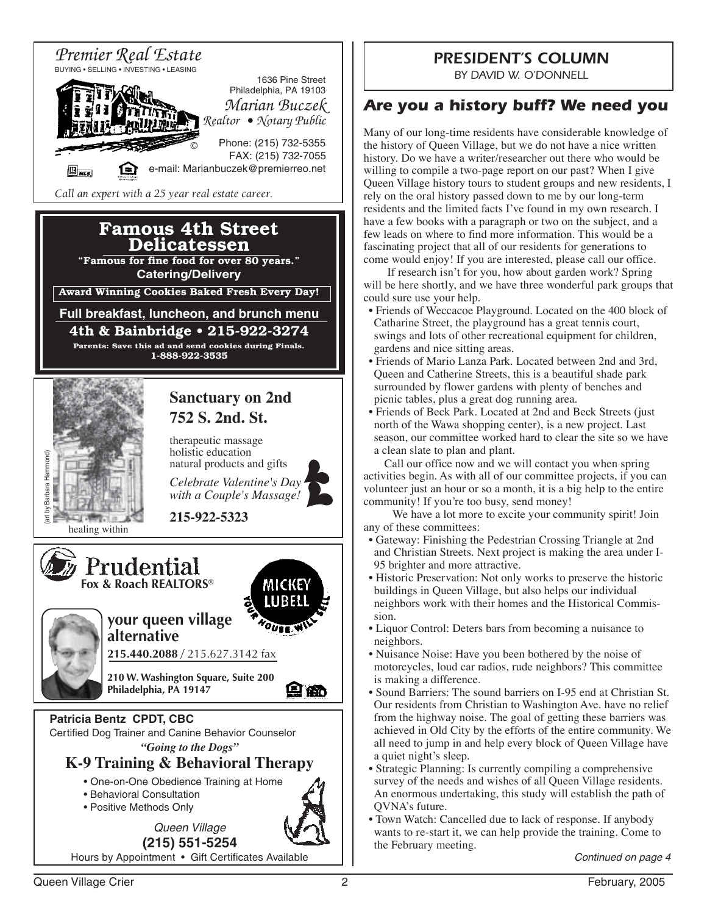

## *PRESIDENT'S COLUMN*

*BY DAVID W. O'DONNELL*

## *Are you a history buff? We need you*

Many of our long-time residents have considerable knowledge of the history of Queen Village, but we do not have a nice written history. Do we have a writer/researcher out there who would be willing to compile a two-page report on our past? When I give Queen Village history tours to student groups and new residents, I rely on the oral history passed down to me by our long-term residents and the limited facts I've found in my own research. I have a few books with a paragraph or two on the subject, and a few leads on where to find more information. This would be a fascinating project that all of our residents for generations to come would enjoy! If you are interested, please call our office.

 If research isn't for you, how about garden work? Spring will be here shortly, and we have three wonderful park groups that could sure use your help.

- Friends of Weccacoe Playground. Located on the 400 block of Catharine Street, the playground has a great tennis court, swings and lots of other recreational equipment for children, gardens and nice sitting areas.
- Friends of Mario Lanza Park. Located between 2nd and 3rd, Queen and Catherine Streets, this is a beautiful shade park surrounded by flower gardens with plenty of benches and picnic tables, plus a great dog running area.
- Friends of Beck Park. Located at 2nd and Beck Streets (just north of the Wawa shopping center), is a new project. Last season, our committee worked hard to clear the site so we have a clean slate to plan and plant.

Call our office now and we will contact you when spring activities begin. As with all of our committee projects, if you can volunteer just an hour or so a month, it is a big help to the entire community! If you're too busy, send money!

 We have a lot more to excite your community spirit! Join any of these committees:

- Gateway: Finishing the Pedestrian Crossing Triangle at 2nd and Christian Streets. Next project is making the area under I-95 brighter and more attractive.
- Historic Preservation: Not only works to preserve the historic buildings in Queen Village, but also helps our individual neighbors work with their homes and the Historical Commission.
- Liquor Control: Deters bars from becoming a nuisance to neighbors.
- Nuisance Noise: Have you been bothered by the noise of motorcycles, loud car radios, rude neighbors? This committee is making a difference.
- Sound Barriers: The sound barriers on I-95 end at Christian St. Our residents from Christian to Washington Ave. have no relief from the highway noise. The goal of getting these barriers was achieved in Old City by the efforts of the entire community. We all need to jump in and help every block of Queen Village have a quiet night's sleep.
- Strategic Planning: Is currently compiling a comprehensive survey of the needs and wishes of all Queen Village residents. An enormous undertaking, this study will establish the path of QVNA's future.
- Town Watch: Cancelled due to lack of response. If anybody wants to re-start it, we can help provide the training. Come to the February meeting.

Continued on page 4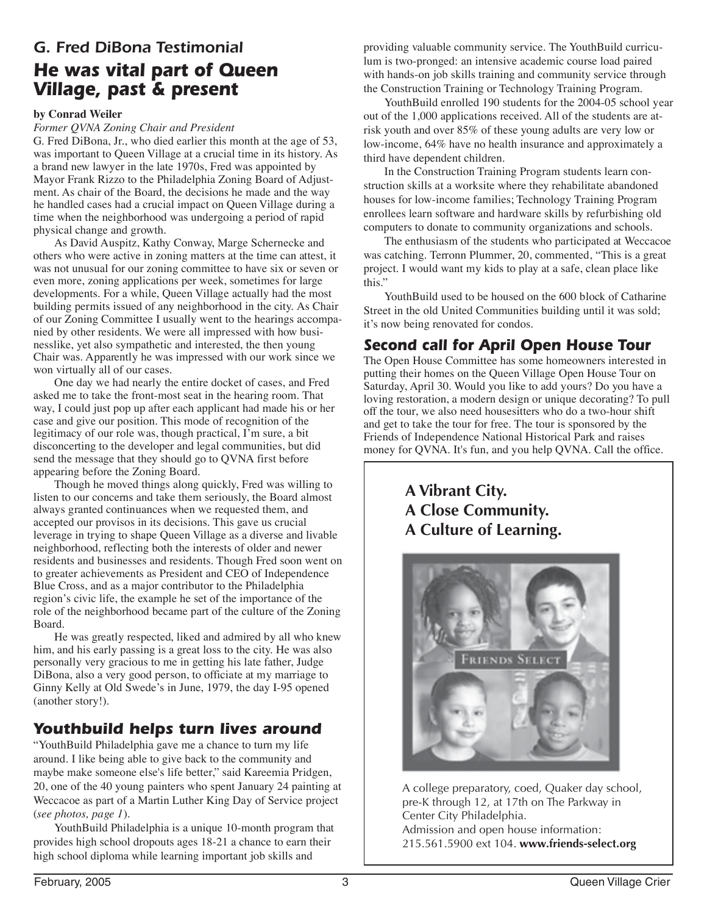## *G. Fred DiBona Testimonial He was vital part of Queen Village, past & present*

#### **by Conrad Weiler**

*Former QVNA Zoning Chair and President*

G. Fred DiBona, Jr., who died earlier this month at the age of 53, was important to Queen Village at a crucial time in its history. As a brand new lawyer in the late 1970s, Fred was appointed by Mayor Frank Rizzo to the Philadelphia Zoning Board of Adjustment. As chair of the Board, the decisions he made and the way he handled cases had a crucial impact on Queen Village during a time when the neighborhood was undergoing a period of rapid physical change and growth.

As David Auspitz, Kathy Conway, Marge Schernecke and others who were active in zoning matters at the time can attest, it was not unusual for our zoning committee to have six or seven or even more, zoning applications per week, sometimes for large developments. For a while, Queen Village actually had the most building permits issued of any neighborhood in the city. As Chair of our Zoning Committee I usually went to the hearings accompanied by other residents. We were all impressed with how businesslike, yet also sympathetic and interested, the then young Chair was. Apparently he was impressed with our work since we won virtually all of our cases.

One day we had nearly the entire docket of cases, and Fred asked me to take the front-most seat in the hearing room. That way, I could just pop up after each applicant had made his or her case and give our position. This mode of recognition of the legitimacy of our role was, though practical, I'm sure, a bit disconcerting to the developer and legal communities, but did send the message that they should go to QVNA first before appearing before the Zoning Board.

Though he moved things along quickly, Fred was willing to listen to our concerns and take them seriously, the Board almost always granted continuances when we requested them, and accepted our provisos in its decisions. This gave us crucial leverage in trying to shape Queen Village as a diverse and livable neighborhood, reflecting both the interests of older and newer residents and businesses and residents. Though Fred soon went on to greater achievements as President and CEO of Independence Blue Cross, and as a major contributor to the Philadelphia region's civic life, the example he set of the importance of the role of the neighborhood became part of the culture of the Zoning Board.

He was greatly respected, liked and admired by all who knew him, and his early passing is a great loss to the city. He was also personally very gracious to me in getting his late father, Judge DiBona, also a very good person, to officiate at my marriage to Ginny Kelly at Old Swede's in June, 1979, the day I-95 opened (another story!).

## *Youthbuild helps turn lives around*

"YouthBuild Philadelphia gave me a chance to turn my life around. I like being able to give back to the community and maybe make someone else's life better," said Kareemia Pridgen, 20, one of the 40 young painters who spent January 24 painting at Weccacoe as part of a Martin Luther King Day of Service project (*see photos, page 1*).

YouthBuild Philadelphia is a unique 10-month program that provides high school dropouts ages 18-21 a chance to earn their high school diploma while learning important job skills and

providing valuable community service. The YouthBuild curriculum is two-pronged: an intensive academic course load paired with hands-on job skills training and community service through the Construction Training or Technology Training Program.

YouthBuild enrolled 190 students for the 2004-05 school year out of the 1,000 applications received. All of the students are atrisk youth and over 85% of these young adults are very low or low-income, 64% have no health insurance and approximately a third have dependent children.

In the Construction Training Program students learn construction skills at a worksite where they rehabilitate abandoned houses for low-income families; Technology Training Program enrollees learn software and hardware skills by refurbishing old computers to donate to community organizations and schools.

The enthusiasm of the students who participated at Weccacoe was catching. Terronn Plummer, 20, commented, "This is a great project. I would want my kids to play at a safe, clean place like this."

YouthBuild used to be housed on the 600 block of Catharine Street in the old United Communities building until it was sold; it's now being renovated for condos.

## *Second call for April Open House Tour*

The Open House Committee has some homeowners interested in putting their homes on the Queen Village Open House Tour on Saturday, April 30. Would you like to add yours? Do you have a loving restoration, a modern design or unique decorating? To pull off the tour, we also need housesitters who do a two-hour shift and get to take the tour for free. The tour is sponsored by the Friends of Independence National Historical Park and raises money for QVNA. It's fun, and you help QVNA. Call the office.

> **A Vibrant City. A Close Community. A Culture of Learning.**



A college preparatory, coed, Quaker day school, pre-K through 12, at 17th on The Parkway in Center City Philadelphia. Admission and open house information: 215.561.5900 ext 104. **www.friends-select.org**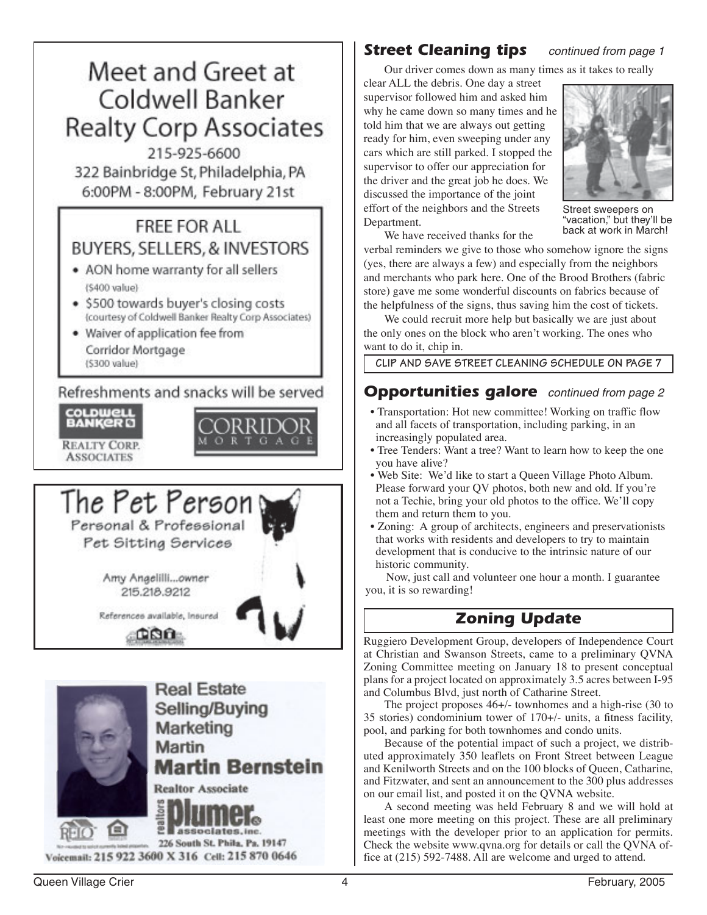

**Martin Bernstein** 

**Realtor Associate** 

Voicemail: 215 922 3600 X 316 Cell: 215 870 0646

associates.inc. 226 South St. Phila. Pa. 19147

## **Street Cleaning tips** continued from page 1

Our driver comes down as many times as it takes to really

clear ALL the debris. One day a street supervisor followed him and asked him why he came down so many times and he told him that we are always out getting ready for him, even sweeping under any cars which are still parked. I stopped the supervisor to offer our appreciation for the driver and the great job he does. We discussed the importance of the joint effort of the neighbors and the Streets Department.



Street sweepers on 'vacation," but they'll be back at work in March!

We have received thanks for the

verbal reminders we give to those who somehow ignore the signs (yes, there are always a few) and especially from the neighbors and merchants who park here. One of the Brood Brothers (fabric store) gave me some wonderful discounts on fabrics because of the helpfulness of the signs, thus saving him the cost of tickets.

We could recruit more help but basically we are just about the only ones on the block who aren't working. The ones who want to do it, chip in.

**CLIP AND SAVE STREET CLEANING SCHEDULE ON PAGE 7**

#### **Opportunities galore** continued from page 2

- Transportation: Hot new committee! Working on traffic flow and all facets of transportation, including parking, in an increasingly populated area.
- Tree Tenders: Want a tree? Want to learn how to keep the one you have alive?
- Web Site: We'd like to start a Queen Village Photo Album. Please forward your QV photos, both new and old. If you're not a Techie, bring your old photos to the office. We'll copy them and return them to you.
- Zoning: A group of architects, engineers and preservationists that works with residents and developers to try to maintain development that is conducive to the intrinsic nature of our historic community.

Now, just call and volunteer one hour a month. I guarantee you, it is so rewarding!

## *Zoning Update*

Ruggiero Development Group, developers of Independence Court at Christian and Swanson Streets, came to a preliminary QVNA Zoning Committee meeting on January 18 to present conceptual plans for a project located on approximately 3.5 acres between I-95 and Columbus Blvd, just north of Catharine Street.

The project proposes 46+/- townhomes and a high-rise (30 to 35 stories) condominium tower of 170+/- units, a fitness facility, pool, and parking for both townhomes and condo units.

Because of the potential impact of such a project, we distributed approximately 350 leaflets on Front Street between League and Kenilworth Streets and on the 100 blocks of Queen, Catharine, and Fitzwater, and sent an announcement to the 300 plus addresses on our email list, and posted it on the QVNA website.

A second meeting was held February 8 and we will hold at least one more meeting on this project. These are all preliminary meetings with the developer prior to an application for permits. Check the website www.qvna.org for details or call the QVNA office at (215) 592-7488. All are welcome and urged to attend.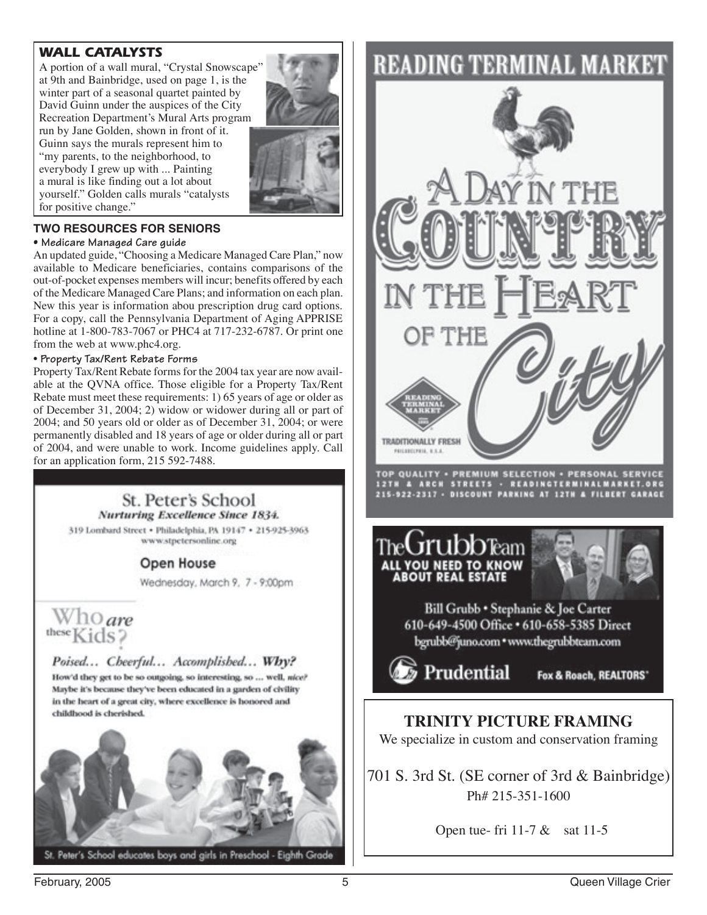#### *WALL CATALYSTS*

A portion of a wall mural, "Crystal Snowscape" at 9th and Bainbridge, used on page 1, is the winter part of a seasonal quartet painted by David Guinn under the auspices of the City Recreation Department's Mural Arts program run by Jane Golden, shown in front of it. Guinn says the murals represent him to "my parents, to the neighborhood, to everybody I grew up with ... Painting a mural is like finding out a lot about yourself." Golden calls murals "catalysts for positive change."



#### **TWO RESOURCES FOR SENIORS**

#### **• Medicare Managed Care guide**

An updated guide, "Choosing a Medicare Managed Care Plan," now available to Medicare beneficiaries, contains comparisons of the out-of-pocket expenses members will incur; benefits offered by each of the Medicare Managed Care Plans; and information on each plan. New this year is information abou prescription drug card options. For a copy, call the Pennsylvania Department of Aging APPRISE hotline at 1-800-783-7067 or PHC4 at 717-232-6787. Or print one from the web at www.phc4.org.

#### • **Property Tax/Rent Rebate Forms**

Property Tax/Rent Rebate forms for the 2004 tax year are now available at the QVNA office. Those eligible for a Property Tax/Rent Rebate must meet these requirements: 1) 65 years of age or older as of December 31, 2004; 2) widow or widower during all or part of 2004; and 50 years old or older as of December 31, 2004; or were permanently disabled and 18 years of age or older during all or part of 2004, and were unable to work. Income guidelines apply. Call for an application form, 215 592-7488.

#### St. Peter's School Nurturing Excellence Since 1834.

319 Lombard Street . Philadelphia, PA 19147 . 215-925-3963 www.stpetersonline.org

#### Open House

Wednesday, March 9, 7 - 9:00pm

# Who are

#### Poised... Cheerful... Accomplished... Why?

How'd they get to be so outgoing, so interesting, so ... well, nice? Maybe it's because they've been educated in a garden of civility in the heart of a great city, where excellence is honored and childhood is cherished.



## **READING TERMINAL MARKET**



Open tue- fri 11-7  $\&$  sat 11-5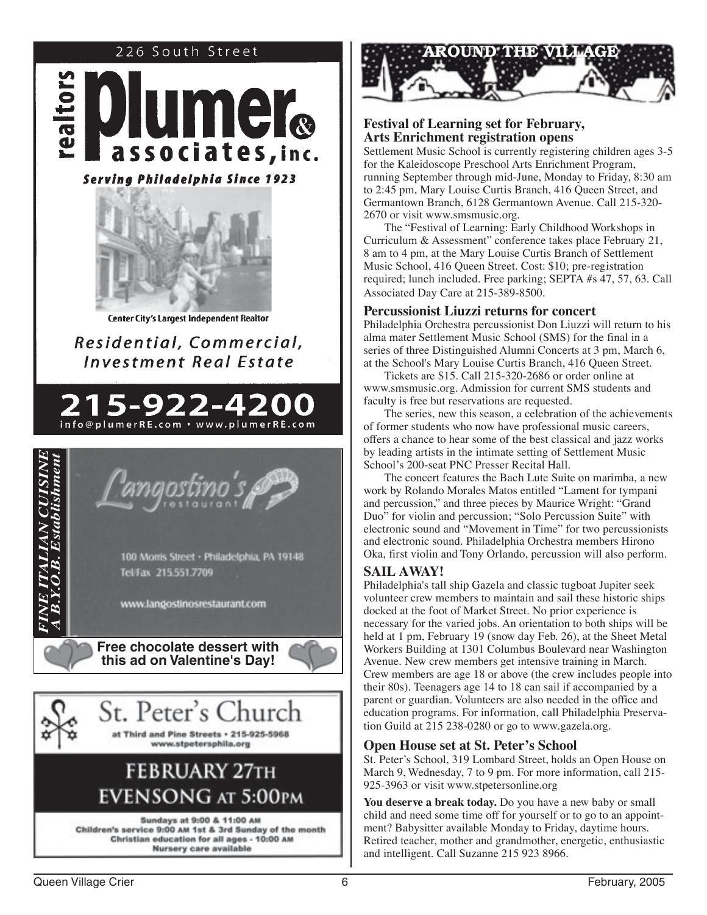#### 226 South Street





Center City's Largest Independent Realtor

## Residential, Commercial, **Investment Real Estate**









#### **Festival of Learning set for February, Arts Enrichment registration opens**

Settlement Music School is currently registering children ages 3-5 for the Kaleidoscope Preschool Arts Enrichment Program, running September through mid-June, Monday to Friday, 8:30 am to 2:45 pm, Mary Louise Curtis Branch, 416 Queen Street, and Germantown Branch, 6128 Germantown Avenue. Call 215-320- 2670 or visit www.smsmusic.org.

The "Festival of Learning: Early Childhood Workshops in Curriculum & Assessment" conference takes place February 21, 8 am to 4 pm, at the Mary Louise Curtis Branch of Settlement Music School, 416 Queen Street. Cost: \$10; pre-registration required; lunch included. Free parking; SEPTA #s 47, 57, 63. Call Associated Day Care at 215-389-8500.

#### **Percussionist Liuzzi returns for concert**

Philadelphia Orchestra percussionist Don Liuzzi will return to his alma mater Settlement Music School (SMS) for the final in a series of three Distinguished Alumni Concerts at 3 pm, March 6, at the School's Mary Louise Curtis Branch, 416 Queen Street.

Tickets are \$15. Call 215-320-2686 or order online at www.smsmusic.org. Admission for current SMS students and faculty is free but reservations are requested.

The series, new this season, a celebration of the achievements of former students who now have professional music careers, offers a chance to hear some of the best classical and jazz works by leading artists in the intimate setting of Settlement Music School's 200-seat PNC Presser Recital Hall.

The concert features the Bach Lute Suite on marimba, a new work by Rolando Morales Matos entitled "Lament for tympani and percussion," and three pieces by Maurice Wright: "Grand Duo" for violin and percussion; "Solo Percussion Suite" with electronic sound and "Movement in Time" for two percussionists and electronic sound. Philadelphia Orchestra members Hirono Oka, first violin and Tony Orlando, percussion will also perform.

#### **SAIL AWAY!**

Philadelphia's tall ship Gazela and classic tugboat Jupiter seek volunteer crew members to maintain and sail these historic ships docked at the foot of Market Street. No prior experience is necessary for the varied jobs. An orientation to both ships will be held at 1 pm, February 19 (snow day Feb. 26), at the Sheet Metal Workers Building at 1301 Columbus Boulevard near Washington Avenue. New crew members get intensive training in March. Crew members are age 18 or above (the crew includes people into their 80s). Teenagers age 14 to 18 can sail if accompanied by a parent or guardian. Volunteers are also needed in the office and education programs. For information, call Philadelphia Preservation Guild at 215 238-0280 or go to www.gazela.org.

#### **Open House set at St. Peter's School**

St. Peter's School, 319 Lombard Street, holds an Open House on March 9, Wednesday, 7 to 9 pm. For more information, call 215- 925-3963 or visit www.stpetersonline.org

**You deserve a break today.** Do you have a new baby or small child and need some time off for yourself or to go to an appointment? Babysitter available Monday to Friday, daytime hours. Retired teacher, mother and grandmother, energetic, enthusiastic and intelligent. Call Suzanne 215 923 8966.